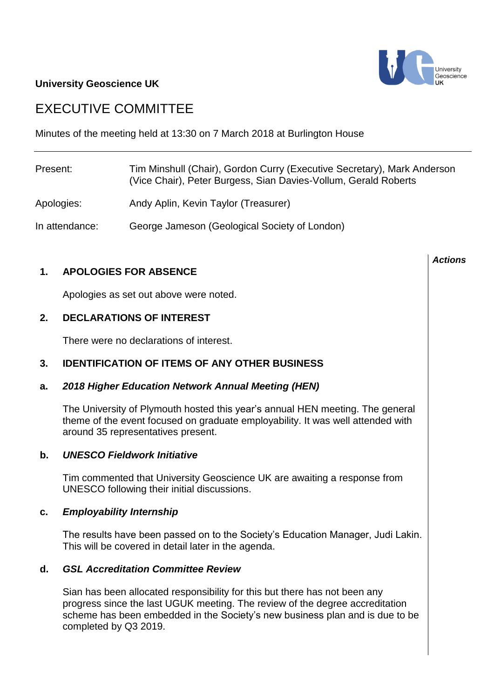# **University Geoscience UK**

# EXECUTIVE COMMITTEE

Minutes of the meeting held at 13:30 on 7 March 2018 at Burlington House

| Present:       | Tim Minshull (Chair), Gordon Curry (Executive Secretary), Mark Anderson<br>(Vice Chair), Peter Burgess, Sian Davies-Vollum, Gerald Roberts |
|----------------|--------------------------------------------------------------------------------------------------------------------------------------------|
| Apologies:     | Andy Aplin, Kevin Taylor (Treasurer)                                                                                                       |
| In attendance: | George Jameson (Geological Society of London)                                                                                              |

# **1. APOLOGIES FOR ABSENCE**

Apologies as set out above were noted.

# **2. DECLARATIONS OF INTEREST**

There were no declarations of interest.

# **3. IDENTIFICATION OF ITEMS OF ANY OTHER BUSINESS**

### **a.** *2018 Higher Education Network Annual Meeting (HEN)*

The University of Plymouth hosted this year's annual HEN meeting. The general theme of the event focused on graduate employability. It was well attended with around 35 representatives present.

### **b.** *UNESCO Fieldwork Initiative*

Tim commented that University Geoscience UK are awaiting a response from UNESCO following their initial discussions.

### **c.** *Employability Internship*

The results have been passed on to the Society's Education Manager, Judi Lakin. This will be covered in detail later in the agenda.

# **d.** *GSL Accreditation Committee Review*

Sian has been allocated responsibility for this but there has not been any progress since the last UGUK meeting. The review of the degree accreditation scheme has been embedded in the Society's new business plan and is due to be completed by Q3 2019.



*Actions*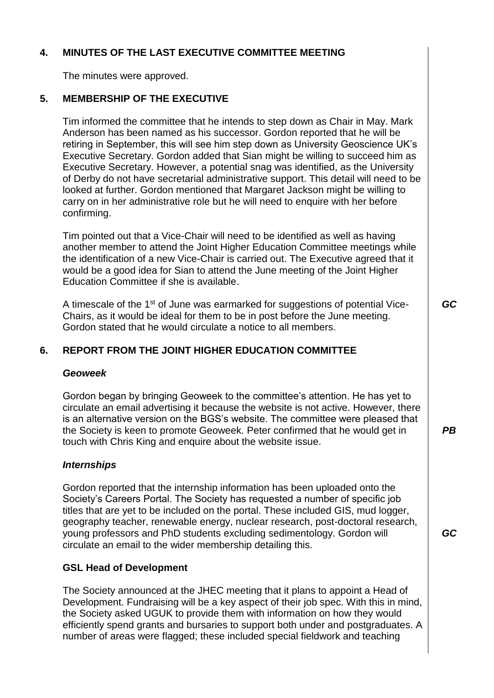# **4. MINUTES OF THE LAST EXECUTIVE COMMITTEE MEETING**

The minutes were approved.

# **5. MEMBERSHIP OF THE EXECUTIVE**

Tim informed the committee that he intends to step down as Chair in May. Mark Anderson has been named as his successor. Gordon reported that he will be retiring in September, this will see him step down as University Geoscience UK's Executive Secretary. Gordon added that Sian might be willing to succeed him as Executive Secretary. However, a potential snag was identified, as the University of Derby do not have secretarial administrative support. This detail will need to be looked at further. Gordon mentioned that Margaret Jackson might be willing to carry on in her administrative role but he will need to enquire with her before confirming.

Tim pointed out that a Vice-Chair will need to be identified as well as having another member to attend the Joint Higher Education Committee meetings while the identification of a new Vice-Chair is carried out. The Executive agreed that it would be a good idea for Sian to attend the June meeting of the Joint Higher Education Committee if she is available.

A timescale of the 1<sup>st</sup> of June was earmarked for suggestions of potential Vice-Chairs, as it would be ideal for them to be in post before the June meeting. Gordon stated that he would circulate a notice to all members.

# **6. REPORT FROM THE JOINT HIGHER EDUCATION COMMITTEE**

### *Geoweek*

Gordon began by bringing Geoweek to the committee's attention. He has yet to circulate an email advertising it because the website is not active. However, there is an alternative version on the BGS's website. The committee were pleased that the Society is keen to promote Geoweek. Peter confirmed that he would get in touch with Chris King and enquire about the website issue.

# *Internships*

Gordon reported that the internship information has been uploaded onto the Society's Careers Portal. The Society has requested a number of specific job titles that are yet to be included on the portal. These included GIS, mud logger, geography teacher, renewable energy, nuclear research, post-doctoral research, young professors and PhD students excluding sedimentology. Gordon will circulate an email to the wider membership detailing this.

# **GSL Head of Development**

The Society announced at the JHEC meeting that it plans to appoint a Head of Development. Fundraising will be a key aspect of their job spec. With this in mind, the Society asked UGUK to provide them with information on how they would efficiently spend grants and bursaries to support both under and postgraduates. A number of areas were flagged; these included special fieldwork and teaching

*GC*

*PB*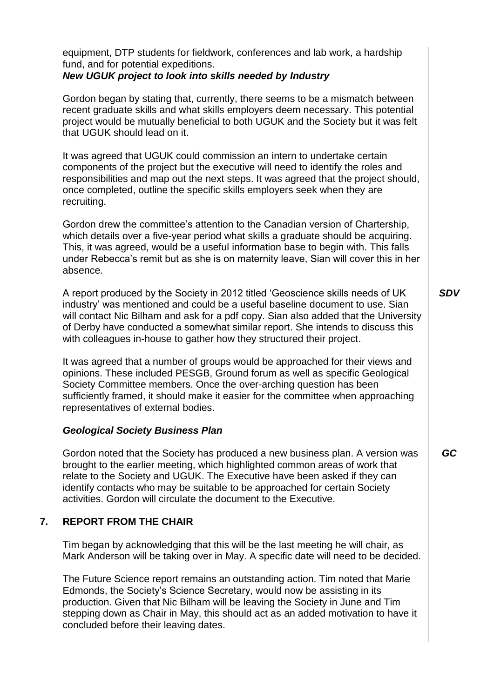|    | equipment, DTP students for fieldwork, conferences and lab work, a hardship<br>fund, and for potential expeditions.<br>New UGUK project to look into skills needed by Industry                                                                                                                                                                                                                                   |            |
|----|------------------------------------------------------------------------------------------------------------------------------------------------------------------------------------------------------------------------------------------------------------------------------------------------------------------------------------------------------------------------------------------------------------------|------------|
|    | Gordon began by stating that, currently, there seems to be a mismatch between<br>recent graduate skills and what skills employers deem necessary. This potential<br>project would be mutually beneficial to both UGUK and the Society but it was felt<br>that UGUK should lead on it.                                                                                                                            |            |
|    | It was agreed that UGUK could commission an intern to undertake certain<br>components of the project but the executive will need to identify the roles and<br>responsibilities and map out the next steps. It was agreed that the project should,<br>once completed, outline the specific skills employers seek when they are<br>recruiting.                                                                     |            |
|    | Gordon drew the committee's attention to the Canadian version of Chartership,<br>which details over a five-year period what skills a graduate should be acquiring.<br>This, it was agreed, would be a useful information base to begin with. This falls<br>under Rebecca's remit but as she is on maternity leave, Sian will cover this in her<br>absence.                                                       |            |
|    | A report produced by the Society in 2012 titled 'Geoscience skills needs of UK<br>industry' was mentioned and could be a useful baseline document to use. Sian<br>will contact Nic Bilham and ask for a pdf copy. Sian also added that the University<br>of Derby have conducted a somewhat similar report. She intends to discuss this<br>with colleagues in-house to gather how they structured their project. | <b>SDV</b> |
|    | It was agreed that a number of groups would be approached for their views and<br>opinions. These included PESGB, Ground forum as well as specific Geological<br>Society Committee members. Once the over-arching question has been<br>sufficiently framed, it should make it easier for the committee when approaching<br>representatives of external bodies.                                                    |            |
|    | <b>Geological Society Business Plan</b>                                                                                                                                                                                                                                                                                                                                                                          |            |
|    | Gordon noted that the Society has produced a new business plan. A version was<br>brought to the earlier meeting, which highlighted common areas of work that<br>relate to the Society and UGUK. The Executive have been asked if they can<br>identify contacts who may be suitable to be approached for certain Society<br>activities. Gordon will circulate the document to the Executive.                      | GC         |
| 7. | <b>REPORT FROM THE CHAIR</b>                                                                                                                                                                                                                                                                                                                                                                                     |            |
|    |                                                                                                                                                                                                                                                                                                                                                                                                                  |            |

Tim began by acknowledging that this will be the last meeting he will chair, as Mark Anderson will be taking over in May. A specific date will need to be decided.

The Future Science report remains an outstanding action. Tim noted that Marie Edmonds, the Society's Science Secretary, would now be assisting in its production. Given that Nic Bilham will be leaving the Society in June and Tim stepping down as Chair in May, this should act as an added motivation to have it concluded before their leaving dates.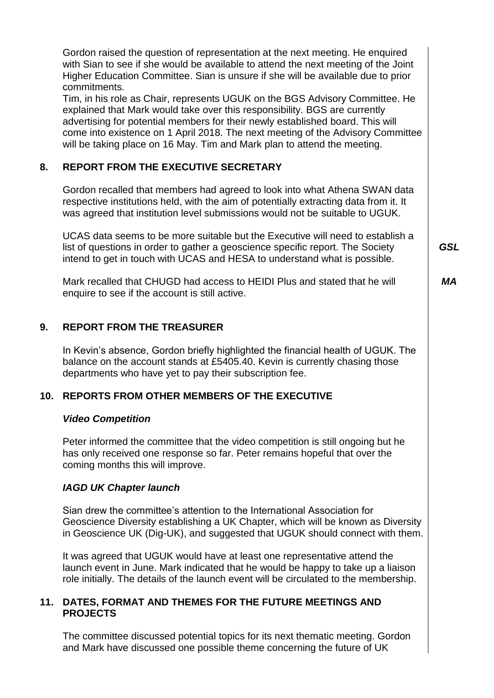|     | Gordon raised the question of representation at the next meeting. He enquired<br>with Sian to see if she would be available to attend the next meeting of the Joint                                                                                                                                                                                                                                         |            |
|-----|-------------------------------------------------------------------------------------------------------------------------------------------------------------------------------------------------------------------------------------------------------------------------------------------------------------------------------------------------------------------------------------------------------------|------------|
|     | Higher Education Committee. Sian is unsure if she will be available due to prior<br>commitments.                                                                                                                                                                                                                                                                                                            |            |
|     | Tim, in his role as Chair, represents UGUK on the BGS Advisory Committee. He<br>explained that Mark would take over this responsibility. BGS are currently<br>advertising for potential members for their newly established board. This will<br>come into existence on 1 April 2018. The next meeting of the Advisory Committee<br>will be taking place on 16 May. Tim and Mark plan to attend the meeting. |            |
| 8.  | <b>REPORT FROM THE EXECUTIVE SECRETARY</b>                                                                                                                                                                                                                                                                                                                                                                  |            |
|     | Gordon recalled that members had agreed to look into what Athena SWAN data<br>respective institutions held, with the aim of potentially extracting data from it. It<br>was agreed that institution level submissions would not be suitable to UGUK.                                                                                                                                                         |            |
|     | UCAS data seems to be more suitable but the Executive will need to establish a<br>list of questions in order to gather a geoscience specific report. The Society<br>intend to get in touch with UCAS and HESA to understand what is possible.                                                                                                                                                               | <b>GSL</b> |
|     | Mark recalled that CHUGD had access to HEIDI Plus and stated that he will<br>enquire to see if the account is still active.                                                                                                                                                                                                                                                                                 | МA         |
| 9.  | <b>REPORT FROM THE TREASURER</b>                                                                                                                                                                                                                                                                                                                                                                            |            |
|     | In Kevin's absence, Gordon briefly highlighted the financial health of UGUK. The<br>balance on the account stands at £5405.40. Kevin is currently chasing those<br>departments who have yet to pay their subscription fee.                                                                                                                                                                                  |            |
| 10. | <b>REPORTS FROM OTHER MEMBERS OF THE EXECUTIVE</b>                                                                                                                                                                                                                                                                                                                                                          |            |
|     | <b>Video Competition</b>                                                                                                                                                                                                                                                                                                                                                                                    |            |
|     | Peter informed the committee that the video competition is still ongoing but he<br>has only received one response so far. Peter remains hopeful that over the<br>coming months this will improve.                                                                                                                                                                                                           |            |
|     | <b>IAGD UK Chapter launch</b>                                                                                                                                                                                                                                                                                                                                                                               |            |
|     | Sian drew the committee's attention to the International Association for<br>Geoscience Diversity establishing a UK Chapter, which will be known as Diversity<br>in Geoscience UK (Dig-UK), and suggested that UGUK should connect with them.                                                                                                                                                                |            |
|     | It was agreed that UGUK would have at least one representative attend the<br>launch event in June. Mark indicated that he would be happy to take up a liaison<br>role initially. The details of the launch event will be circulated to the membership.                                                                                                                                                      |            |

# **11. DATES, FORMAT AND THEMES FOR THE FUTURE MEETINGS AND PROJECTS**

The committee discussed potential topics for its next thematic meeting. Gordon and Mark have discussed one possible theme concerning the future of UK